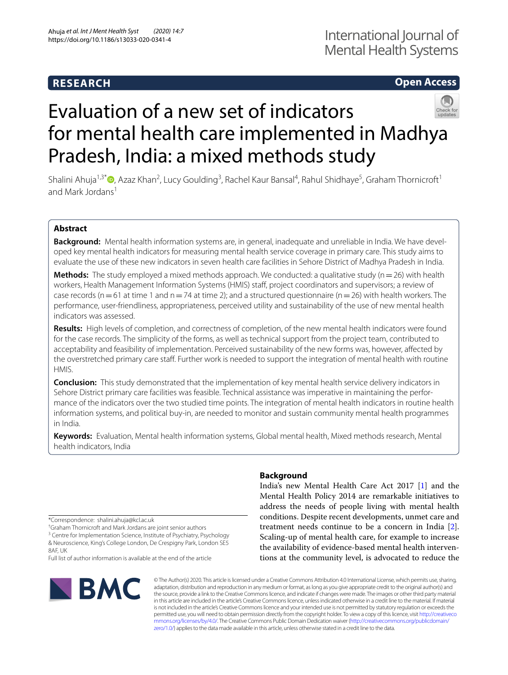# **RESEARCH**

# **Open Access**



# Evaluation of a new set of indicators for mental health care implemented in Madhya Pradesh, India: a mixed methods study

Shalini Ahuja<sup>1,3\*</sup>®[,](http://orcid.org/0000-0002-5433-3340) Azaz Khan<sup>2</sup>, Lucy Goulding<sup>3</sup>, Rachel Kaur Bansal<sup>4</sup>, Rahul Shidhaye<sup>5</sup>, Graham Thornicroft<sup>1</sup> and Mark Jordans<sup>1</sup>

## **Abstract**

**Background:** Mental health information systems are, in general, inadequate and unreliable in India. We have developed key mental health indicators for measuring mental health service coverage in primary care. This study aims to evaluate the use of these new indicators in seven health care facilities in Sehore District of Madhya Pradesh in India.

**Methods:** The study employed a mixed methods approach. We conducted: a qualitative study (n = 26) with health workers, Health Management Information Systems (HMIS) staf, project coordinators and supervisors; a review of case records ( $n=61$  at time 1 and  $n=74$  at time 2); and a structured questionnaire ( $n=26$ ) with health workers. The performance, user-friendliness, appropriateness, perceived utility and sustainability of the use of new mental health indicators was assessed.

**Results:** High levels of completion, and correctness of completion, of the new mental health indicators were found for the case records. The simplicity of the forms, as well as technical support from the project team, contributed to acceptability and feasibility of implementation. Perceived sustainability of the new forms was, however, afected by the overstretched primary care staf. Further work is needed to support the integration of mental health with routine HMIS.

**Conclusion:** This study demonstrated that the implementation of key mental health service delivery indicators in Sehore District primary care facilities was feasible. Technical assistance was imperative in maintaining the performance of the indicators over the two studied time points. The integration of mental health indicators in routine health information systems, and political buy-in, are needed to monitor and sustain community mental health programmes in India.

**Keywords:** Evaluation, Mental health information systems, Global mental health, Mixed methods research, Mental health indicators, India

\*Correspondence: shalini.ahuja@kcl.ac.uk

† Graham Thornicroft and Mark Jordans are joint senior authors

<sup>3</sup> Centre for Implementation Science, Institute of Psychiatry, Psychology & Neuroscience, King's College London, De Crespigny Park, London SE5 8AF, UK

Full list of author information is available at the end of the article



## **Background**

India's new Mental Health Care Act 2017 [\[1](#page-11-0)] and the Mental Health Policy 2014 are remarkable initiatives to address the needs of people living with mental health conditions. Despite recent developments, unmet care and treatment needs continue to be a concern in India [\[2](#page-11-1)]. Scaling-up of mental health care, for example to increase the availability of evidence-based mental health interventions at the community level, is advocated to reduce the

© The Author(s) 2020. This article is licensed under a Creative Commons Attribution 4.0 International License, which permits use, sharing, adaptation, distribution and reproduction in any medium or format, as long as you give appropriate credit to the original author(s) and the source, provide a link to the Creative Commons licence, and indicate if changes were made. The images or other third party material in this article are included in the article's Creative Commons licence, unless indicated otherwise in a credit line to the material. If material is not included in the article's Creative Commons licence and your intended use is not permitted by statutory regulation or exceeds the permitted use, you will need to obtain permission directly from the copyright holder. To view a copy of this licence, visit [http://creativeco](http://creativecommons.org/licenses/by/4.0/) [mmons.org/licenses/by/4.0/.](http://creativecommons.org/licenses/by/4.0/) The Creative Commons Public Domain Dedication waiver ([http://creativecommons.org/publicdomain/](http://creativecommons.org/publicdomain/zero/1.0/) [zero/1.0/\)](http://creativecommons.org/publicdomain/zero/1.0/) applies to the data made available in this article, unless otherwise stated in a credit line to the data.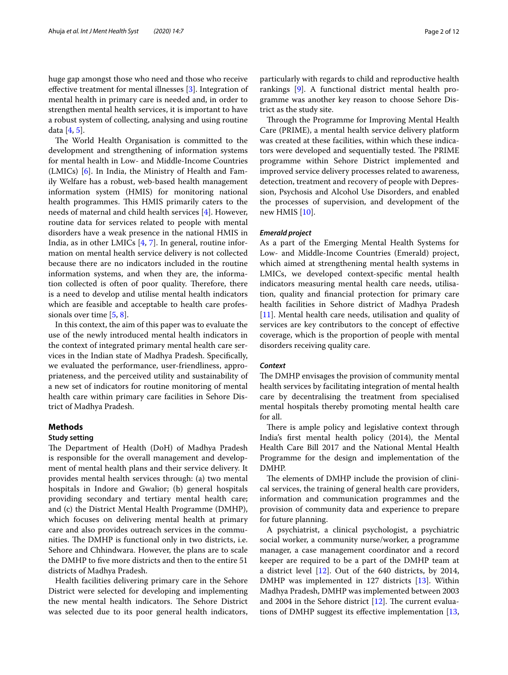huge gap amongst those who need and those who receive efective treatment for mental illnesses [\[3](#page-11-2)]. Integration of mental health in primary care is needed and, in order to strengthen mental health services, it is important to have a robust system of collecting, analysing and using routine data [[4,](#page-11-3) [5](#page-11-4)].

The World Health Organisation is committed to the development and strengthening of information systems for mental health in Low- and Middle-Income Countries (LMICs) [[6](#page-11-5)]. In India, the Ministry of Health and Family Welfare has a robust, web-based health management information system (HMIS) for monitoring national health programmes. This HMIS primarily caters to the needs of maternal and child health services [\[4](#page-11-3)]. However, routine data for services related to people with mental disorders have a weak presence in the national HMIS in India, as in other LMICs [[4,](#page-11-3) [7\]](#page-11-6). In general, routine information on mental health service delivery is not collected because there are no indicators included in the routine information systems, and when they are, the information collected is often of poor quality. Therefore, there is a need to develop and utilise mental health indicators which are feasible and acceptable to health care professionals over time [\[5](#page-11-4), [8\]](#page-11-7).

In this context, the aim of this paper was to evaluate the use of the newly introduced mental health indicators in the context of integrated primary mental health care services in the Indian state of Madhya Pradesh. Specifcally, we evaluated the performance, user-friendliness, appropriateness, and the perceived utility and sustainability of a new set of indicators for routine monitoring of mental health care within primary care facilities in Sehore District of Madhya Pradesh.

## **Methods**

## **Study setting**

The Department of Health (DoH) of Madhya Pradesh is responsible for the overall management and development of mental health plans and their service delivery. It provides mental health services through: (a) two mental hospitals in Indore and Gwalior; (b) general hospitals providing secondary and tertiary mental health care; and (c) the District Mental Health Programme (DMHP), which focuses on delivering mental health at primary care and also provides outreach services in the communities. The DMHP is functional only in two districts, i.e. Sehore and Chhindwara. However, the plans are to scale the DMHP to fve more districts and then to the entire 51 districts of Madhya Pradesh.

Health facilities delivering primary care in the Sehore District were selected for developing and implementing the new mental health indicators. The Sehore District was selected due to its poor general health indicators,

particularly with regards to child and reproductive health rankings [\[9](#page-11-8)]. A functional district mental health programme was another key reason to choose Sehore District as the study site.

Through the Programme for Improving Mental Health Care (PRIME), a mental health service delivery platform was created at these facilities, within which these indicators were developed and sequentially tested. The PRIME programme within Sehore District implemented and improved service delivery processes related to awareness, detection, treatment and recovery of people with Depression, Psychosis and Alcohol Use Disorders, and enabled the processes of supervision, and development of the new HMIS [[10](#page-11-9)].

#### *Emerald project*

As a part of the Emerging Mental Health Systems for Low- and Middle-Income Countries (Emerald) project, which aimed at strengthening mental health systems in LMICs, we developed context-specifc mental health indicators measuring mental health care needs, utilisation, quality and fnancial protection for primary care health facilities in Sehore district of Madhya Pradesh [[11\]](#page-11-10). Mental health care needs, utilisation and quality of services are key contributors to the concept of efective coverage, which is the proportion of people with mental disorders receiving quality care.

#### *Context*

The DMHP envisages the provision of community mental health services by facilitating integration of mental health care by decentralising the treatment from specialised mental hospitals thereby promoting mental health care for all.

There is ample policy and legislative context through India's frst mental health policy (2014), the Mental Health Care Bill 2017 and the National Mental Health Programme for the design and implementation of the DMHP.

The elements of DMHP include the provision of clinical services, the training of general health care providers, information and communication programmes and the provision of community data and experience to prepare for future planning.

A psychiatrist, a clinical psychologist, a psychiatric social worker, a community nurse/worker, a programme manager, a case management coordinator and a record keeper are required to be a part of the DMHP team at a district level [\[12](#page-11-11)]. Out of the 640 districts, by 2014, DMHP was implemented in 127 districts [[13\]](#page-11-12). Within Madhya Pradesh, DMHP was implemented between 2003 and 2004 in the Sehore district  $[12]$  $[12]$ . The current evaluations of DMHP suggest its efective implementation [[13](#page-11-12),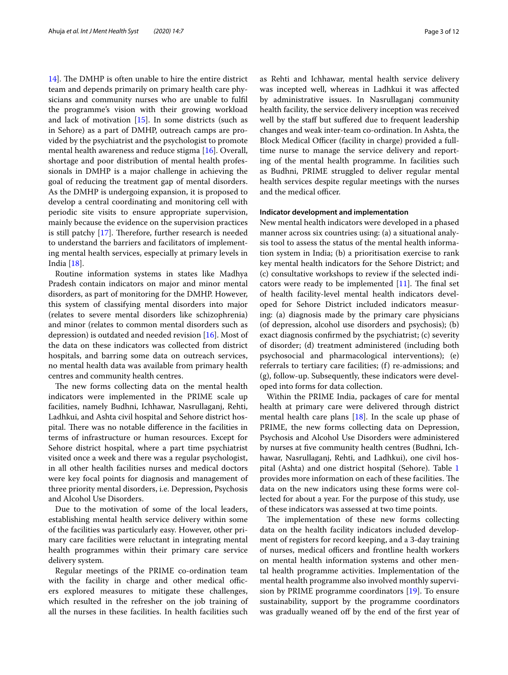[14\]](#page-11-13). The DMHP is often unable to hire the entire district team and depends primarily on primary health care physicians and community nurses who are unable to fulfl the programme's vision with their growing workload and lack of motivation  $[15]$  $[15]$ . In some districts (such as in Sehore) as a part of DMHP, outreach camps are provided by the psychiatrist and the psychologist to promote mental health awareness and reduce stigma [\[16](#page-11-15)]. Overall, shortage and poor distribution of mental health professionals in DMHP is a major challenge in achieving the goal of reducing the treatment gap of mental disorders. As the DMHP is undergoing expansion, it is proposed to develop a central coordinating and monitoring cell with periodic site visits to ensure appropriate supervision, mainly because the evidence on the supervision practices is still patchy  $[17]$  $[17]$ . Therefore, further research is needed to understand the barriers and facilitators of implementing mental health services, especially at primary levels in India [\[18](#page-11-17)].

Routine information systems in states like Madhya Pradesh contain indicators on major and minor mental disorders, as part of monitoring for the DMHP. However, this system of classifying mental disorders into major (relates to severe mental disorders like schizophrenia) and minor (relates to common mental disorders such as depression) is outdated and needed revision [\[16](#page-11-15)]. Most of the data on these indicators was collected from district hospitals, and barring some data on outreach services, no mental health data was available from primary health centres and community health centres.

The new forms collecting data on the mental health indicators were implemented in the PRIME scale up facilities, namely Budhni, Ichhawar, Nasrullaganj, Rehti, Ladhkui, and Ashta civil hospital and Sehore district hospital. There was no notable difference in the facilities in terms of infrastructure or human resources. Except for Sehore district hospital, where a part time psychiatrist visited once a week and there was a regular psychologist, in all other health facilities nurses and medical doctors were key focal points for diagnosis and management of three priority mental disorders, i.e. Depression, Psychosis and Alcohol Use Disorders.

Due to the motivation of some of the local leaders, establishing mental health service delivery within some of the facilities was particularly easy. However, other primary care facilities were reluctant in integrating mental health programmes within their primary care service delivery system.

Regular meetings of the PRIME co-ordination team with the facility in charge and other medical officers explored measures to mitigate these challenges, which resulted in the refresher on the job training of all the nurses in these facilities. In health facilities such as Rehti and Ichhawar, mental health service delivery was incepted well, whereas in Ladhkui it was afected by administrative issues. In Nasrullaganj community health facility, the service delivery inception was received well by the staff but suffered due to frequent leadership changes and weak inter-team co-ordination. In Ashta, the Block Medical Officer (facility in charge) provided a fulltime nurse to manage the service delivery and reporting of the mental health programme. In facilities such as Budhni, PRIME struggled to deliver regular mental health services despite regular meetings with the nurses and the medical officer.

## **Indicator development and implementation**

New mental health indicators were developed in a phased manner across six countries using: (a) a situational analysis tool to assess the status of the mental health information system in India; (b) a prioritisation exercise to rank key mental health indicators for the Sehore District; and (c) consultative workshops to review if the selected indicators were ready to be implemented  $[11]$  $[11]$ . The final set of health facility-level mental health indicators developed for Sehore District included indicators measuring: (a) diagnosis made by the primary care physicians (of depression, alcohol use disorders and psychosis); (b) exact diagnosis confrmed by the psychiatrist; (c) severity of disorder; (d) treatment administered (including both psychosocial and pharmacological interventions); (e) referrals to tertiary care facilities; (f) re-admissions; and (g), follow-up. Subsequently, these indicators were developed into forms for data collection.

Within the PRIME India, packages of care for mental health at primary care were delivered through district mental health care plans  $[18]$ . In the scale up phase of PRIME, the new forms collecting data on Depression, Psychosis and Alcohol Use Disorders were administered by nurses at fve community health centres (Budhni, Ichhawar, Nasrullaganj, Rehti, and Ladhkui), one civil hospital (Ashta) and one district hospital (Sehore). Table [1](#page-3-0) provides more information on each of these facilities. The data on the new indicators using these forms were collected for about a year. For the purpose of this study, use of these indicators was assessed at two time points.

The implementation of these new forms collecting data on the health facility indicators included development of registers for record keeping, and a 3-day training of nurses, medical officers and frontline health workers on mental health information systems and other mental health programme activities. Implementation of the mental health programme also involved monthly supervision by PRIME programme coordinators [\[19](#page-11-18)]. To ensure sustainability, support by the programme coordinators was gradually weaned off by the end of the first year of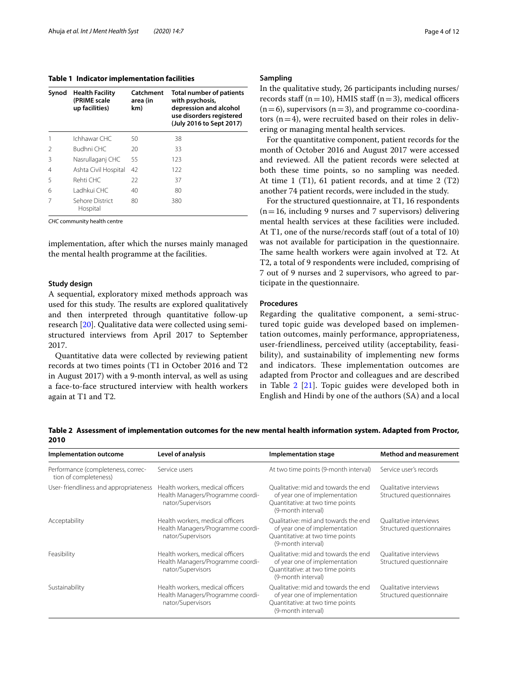<span id="page-3-0"></span>**Table 1 Indicator implementation facilities**

| Synod | <b>Health Facility</b><br>(PRIME scale<br>up facilities) | Catchment<br>area (in<br>km) | Total number of patients<br>with psychosis,<br>depression and alcohol<br>use disorders registered<br>(July 2016 to Sept 2017) |
|-------|----------------------------------------------------------|------------------------------|-------------------------------------------------------------------------------------------------------------------------------|
|       | Ichhawar CHC                                             | 50                           | 38                                                                                                                            |
|       | Budhni CHC                                               | 20                           | 33                                                                                                                            |
| 3     | Nasrullaganj CHC                                         | 55                           | 123                                                                                                                           |
| 4     | Ashta Civil Hospital                                     | 42                           | 122                                                                                                                           |
| 5     | Rehti CHC                                                | 22                           | 37                                                                                                                            |
| 6     | Ladhkui CHC                                              | 40                           | 80                                                                                                                            |
|       | Sehore District<br>Hospital                              | 80                           | 380                                                                                                                           |

*CHC* community health centre

implementation, after which the nurses mainly managed the mental health programme at the facilities.

## **Study design**

A sequential, exploratory mixed methods approach was used for this study. The results are explored qualitatively and then interpreted through quantitative follow-up research [[20\]](#page-11-19). Qualitative data were collected using semistructured interviews from April 2017 to September 2017.

Quantitative data were collected by reviewing patient records at two times points (T1 in October 2016 and T2 in August 2017) with a 9-month interval, as well as using a face-to-face structured interview with health workers again at T1 and T2.

#### **Sampling**

In the qualitative study, 26 participants including nurses/ records staff ( $n=10$ ), HMIS staff ( $n=3$ ), medical officers  $(n=6)$ , supervisors  $(n=3)$ , and programme co-coordinators  $(n=4)$ , were recruited based on their roles in delivering or managing mental health services.

For the quantitative component, patient records for the month of October 2016 and August 2017 were accessed and reviewed. All the patient records were selected at both these time points, so no sampling was needed. At time 1 (T1), 61 patient records, and at time 2 (T2) another 74 patient records, were included in the study.

For the structured questionnaire, at T1, 16 respondents  $(n=16,$  including 9 nurses and 7 supervisors) delivering mental health services at these facilities were included. At T1, one of the nurse/records staff (out of a total of 10) was not available for participation in the questionnaire. The same health workers were again involved at T2. At T2, a total of 9 respondents were included, comprising of 7 out of 9 nurses and 2 supervisors, who agreed to participate in the questionnaire.

## **Procedures**

Regarding the qualitative component, a semi-structured topic guide was developed based on implementation outcomes, mainly performance, appropriateness, user-friendliness, perceived utility (acceptability, feasibility), and sustainability of implementing new forms and indicators. These implementation outcomes are adapted from Proctor and colleagues and are described in Table  $2$  [[21\]](#page-11-20). Topic guides were developed both in English and Hindi by one of the authors (SA) and a local

<span id="page-3-1"></span>**Table 2 Assessment of implementation outcomes for the new mental health information system. Adapted from Proctor, 2010**

| Implementation outcome                                      | Level of analysis                                                                          | Implementation stage                                                                                                            | <b>Method and measurement</b>                       |
|-------------------------------------------------------------|--------------------------------------------------------------------------------------------|---------------------------------------------------------------------------------------------------------------------------------|-----------------------------------------------------|
| Performance (completeness, correc-<br>tion of completeness) | Service users                                                                              | At two time points (9-month interval)                                                                                           | Service user's records                              |
| User-friendliness and appropriateness                       | Health workers, medical officers<br>Health Managers/Programme coordi-<br>nator/Supervisors | Oualitative: mid and towards the end<br>of year one of implementation<br>Quantitative: at two time points<br>(9-month interval) | Oualitative interviews<br>Structured questionnaires |
| Acceptability                                               | Health workers, medical officers<br>Health Managers/Programme coordi-<br>nator/Supervisors | Qualitative: mid and towards the end<br>of year one of implementation<br>Quantitative: at two time points<br>(9-month interval) | Oualitative interviews<br>Structured questionnaires |
| Feasibility                                                 | Health workers, medical officers<br>Health Managers/Programme coordi-<br>nator/Supervisors | Oualitative: mid and towards the end<br>of year one of implementation<br>Quantitative: at two time points<br>(9-month interval) | Oualitative interviews<br>Structured questionnaire  |
| Sustainability                                              | Health workers, medical officers<br>Health Managers/Programme coordi-<br>nator/Supervisors | Oualitative: mid and towards the end<br>of year one of implementation<br>Quantitative: at two time points<br>(9-month interval) | Oualitative interviews<br>Structured questionnaire  |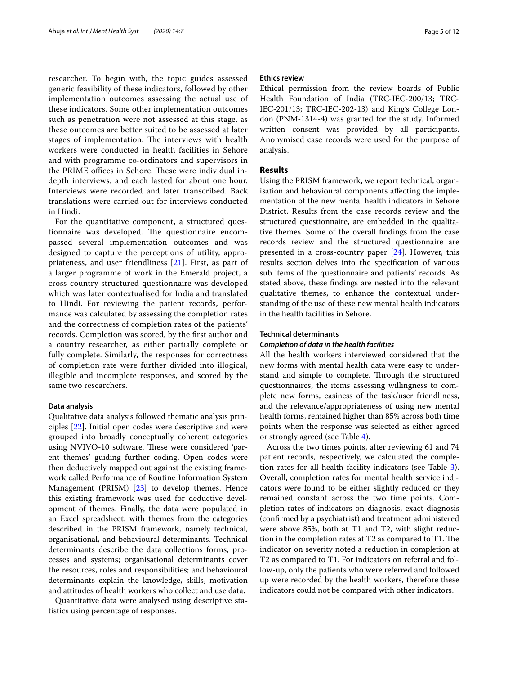researcher. To begin with, the topic guides assessed generic feasibility of these indicators, followed by other implementation outcomes assessing the actual use of these indicators. Some other implementation outcomes such as penetration were not assessed at this stage, as these outcomes are better suited to be assessed at later stages of implementation. The interviews with health workers were conducted in health facilities in Sehore and with programme co-ordinators and supervisors in the PRIME offices in Sehore. These were individual indepth interviews, and each lasted for about one hour. Interviews were recorded and later transcribed. Back translations were carried out for interviews conducted in Hindi.

For the quantitative component, a structured questionnaire was developed. The questionnaire encompassed several implementation outcomes and was designed to capture the perceptions of utility, appropriateness, and user friendliness [\[21\]](#page-11-20). First, as part of a larger programme of work in the Emerald project, a cross-country structured questionnaire was developed which was later contextualised for India and translated to Hindi. For reviewing the patient records, performance was calculated by assessing the completion rates and the correctness of completion rates of the patients' records. Completion was scored, by the frst author and a country researcher, as either partially complete or fully complete. Similarly, the responses for correctness of completion rate were further divided into illogical, illegible and incomplete responses, and scored by the same two researchers.

## **Data analysis**

Qualitative data analysis followed thematic analysis principles [\[22](#page-11-21)]. Initial open codes were descriptive and were grouped into broadly conceptually coherent categories using NVIVO-10 software. These were considered 'parent themes' guiding further coding. Open codes were then deductively mapped out against the existing framework called Performance of Routine Information System Management (PRISM) [\[23](#page-11-22)] to develop themes. Hence this existing framework was used for deductive development of themes. Finally, the data were populated in an Excel spreadsheet, with themes from the categories described in the PRISM framework, namely technical, organisational, and behavioural determinants. Technical determinants describe the data collections forms, processes and systems; organisational determinants cover the resources, roles and responsibilities; and behavioural determinants explain the knowledge, skills, motivation and attitudes of health workers who collect and use data.

Quantitative data were analysed using descriptive statistics using percentage of responses.

#### **Ethics review**

Ethical permission from the review boards of Public Health Foundation of India (TRC-IEC-200/13; TRC-IEC-201/13; TRC-IEC-202-13) and King's College London (PNM-1314-4) was granted for the study. Informed written consent was provided by all participants. Anonymised case records were used for the purpose of analysis.

## **Results**

Using the PRISM framework, we report technical, organisation and behavioural components afecting the implementation of the new mental health indicators in Sehore District. Results from the case records review and the structured questionnaire, are embedded in the qualitative themes. Some of the overall fndings from the case records review and the structured questionnaire are presented in a cross-country paper [\[24](#page-11-23)]. However, this results section delves into the specifcation of various sub items of the questionnaire and patients' records. As stated above, these fndings are nested into the relevant qualitative themes, to enhance the contextual understanding of the use of these new mental health indicators in the health facilities in Sehore.

## **Technical determinants**

## *Completion of data in the health facilities*

All the health workers interviewed considered that the new forms with mental health data were easy to understand and simple to complete. Through the structured questionnaires, the items assessing willingness to complete new forms, easiness of the task/user friendliness, and the relevance/appropriateness of using new mental health forms, remained higher than 85% across both time points when the response was selected as either agreed or strongly agreed (see Table [4\)](#page-6-0).

Across the two times points, after reviewing 61 and 74 patient records, respectively, we calculated the completion rates for all health facility indicators (see Table [3](#page-5-0)). Overall, completion rates for mental health service indicators were found to be either slightly reduced or they remained constant across the two time points. Completion rates of indicators on diagnosis, exact diagnosis (confrmed by a psychiatrist) and treatment administered were above 85%, both at T1 and T2, with slight reduction in the completion rates at T2 as compared to T1. The indicator on severity noted a reduction in completion at T2 as compared to T1. For indicators on referral and follow-up, only the patients who were referred and followed up were recorded by the health workers, therefore these indicators could not be compared with other indicators.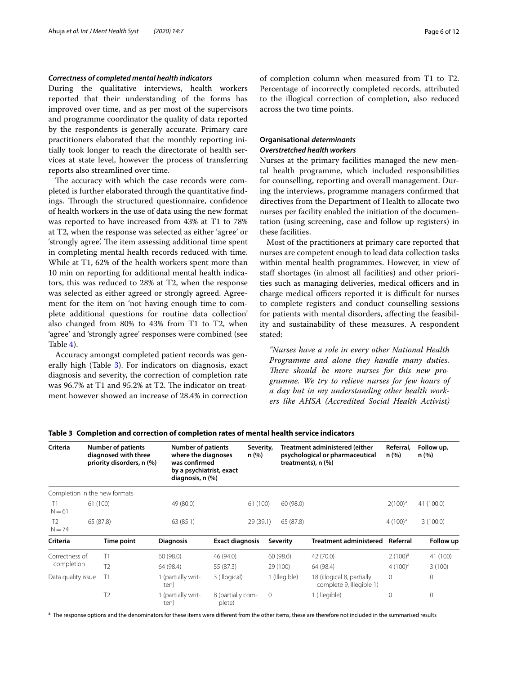#### *Correctness of completed mental health indicators*

During the qualitative interviews, health workers reported that their understanding of the forms has improved over time, and as per most of the supervisors and programme coordinator the quality of data reported by the respondents is generally accurate. Primary care practitioners elaborated that the monthly reporting initially took longer to reach the directorate of health services at state level, however the process of transferring reports also streamlined over time.

The accuracy with which the case records were completed is further elaborated through the quantitative fndings. Through the structured questionnaire, confidence of health workers in the use of data using the new format was reported to have increased from 43% at T1 to 78% at T2, when the response was selected as either 'agree' or 'strongly agree'. The item assessing additional time spent in completing mental health records reduced with time. While at T1, 62% of the health workers spent more than 10 min on reporting for additional mental health indicators, this was reduced to 28% at T2, when the response was selected as either agreed or strongly agreed. Agreement for the item on 'not having enough time to complete additional questions for routine data collection' also changed from 80% to 43% from T1 to T2, when 'agree' and 'strongly agree' responses were combined (see Table [4](#page-6-0)).

Accuracy amongst completed patient records was gen-erally high (Table [3](#page-5-0)). For indicators on diagnosis, exact diagnosis and severity, the correction of completion rate was 96.7% at T1 and 95.2% at T2. The indicator on treatment however showed an increase of 28.4% in correction of completion column when measured from T1 to T2. Percentage of incorrectly completed records, attributed to the illogical correction of completion, also reduced across the two time points.

## **Organisational** *determinants Overstretched health workers*

Nurses at the primary facilities managed the new mental health programme, which included responsibilities for counselling, reporting and overall management. During the interviews, programme managers confrmed that directives from the Department of Health to allocate two nurses per facility enabled the initiation of the documentation (using screening, case and follow up registers) in these facilities.

Most of the practitioners at primary care reported that nurses are competent enough to lead data collection tasks within mental health programmes. However, in view of staff shortages (in almost all facilities) and other priorities such as managing deliveries, medical officers and in charge medical officers reported it is difficult for nurses to complete registers and conduct counselling sessions for patients with mental disorders, afecting the feasibility and sustainability of these measures. A respondent stated:

*"Nurses have a role in every other National Health Programme and alone they handle many duties.*  There should be more nurses for this new pro*gramme. We try to relieve nurses for few hours of a day but in my understanding other health workers like AHSA (Accredited Social Health Activist)* 

| Criteria                     | <b>Number of patients</b><br>diagnosed with three<br>priority disorders, n (%) | <b>Number of patients</b><br>where the diagnoses<br>was confirmed<br>by a psychiatrist, exact |                             | Severity,<br>n (%) |               | Treatment administered (either<br>psychological or pharmaceutical<br>treatments), n (%) | Referral,<br>n(%) | Follow up,<br>n(%) |
|------------------------------|--------------------------------------------------------------------------------|-----------------------------------------------------------------------------------------------|-----------------------------|--------------------|---------------|-----------------------------------------------------------------------------------------|-------------------|--------------------|
|                              |                                                                                | diagnosis, n (%)                                                                              |                             |                    |               |                                                                                         |                   |                    |
|                              | Completion in the new formats                                                  |                                                                                               |                             |                    |               |                                                                                         |                   |                    |
| T1<br>$N = 61$               | 61 (100)                                                                       | 49 (80.0)                                                                                     |                             | 61 (100)           | 60(98.0)      |                                                                                         | $2(100)^{a}$      | 41 (100.0)         |
| T <sub>2</sub><br>$N = 74$   | 65 (87.8)                                                                      | 63(85.1)                                                                                      |                             | 29 (39.1)          | 65 (87.8)     |                                                                                         | $4(100)^a$        | 3(100.0)           |
| Criteria                     | Time point                                                                     | <b>Diagnosis</b>                                                                              | Exact diagnosis             |                    | Severity      | Treatment administered                                                                  | Referral          | Follow up          |
| Correctness of<br>completion | T1                                                                             | 60 (98.0)                                                                                     | 46 (94.0)                   |                    | 60 (98.0)     | 42 (70.0)                                                                               | $2(100)^a$        | 41 (100)           |
|                              | T <sub>2</sub>                                                                 | 64 (98.4)                                                                                     | 55 (87.3)                   |                    | 29 (100)      | 64 (98.4)                                                                               | $4(100)^a$        | 3(100)             |
| Data quality issue           | T1                                                                             | 1 (partially writ-<br>ten)                                                                    | 3 (illogical)               |                    | 1 (Illegible) | 18 (illogical 8, partially<br>complete 9, Illegible 1)                                  | $\mathbf{0}$      | 0                  |
|                              | T <sub>2</sub>                                                                 | (partially writ-<br>ten)                                                                      | 8 (partially com-<br>plete) | 0                  |               | 1 (Illegible)                                                                           | 0                 | 0                  |

<span id="page-5-0"></span>**Table 3 Completion and correction of completion rates of mental health service indicators**

<sup>a</sup> The response options and the denominators for these items were different from the other items, these are therefore not included in the summarised results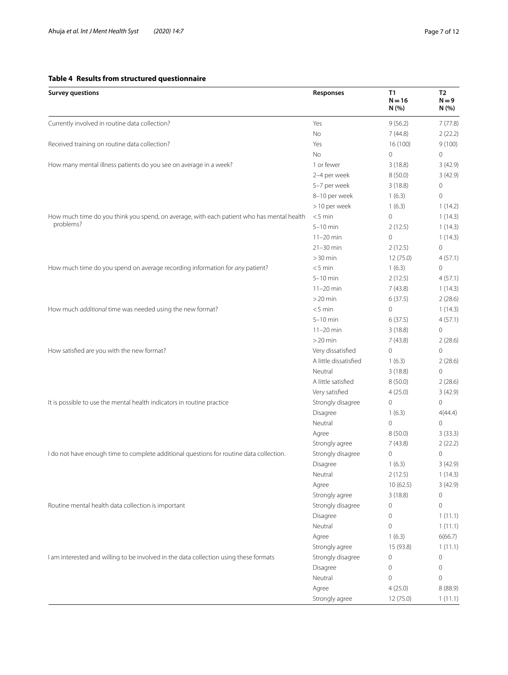## <span id="page-6-0"></span>**Table 4 Results from structured questionnaire**

| <b>Survey questions</b>                                                                   | Responses             | T1<br>$N = 16$<br>N (%) | T <sub>2</sub><br>$N = 9$<br>N (%) |
|-------------------------------------------------------------------------------------------|-----------------------|-------------------------|------------------------------------|
| Currently involved in routine data collection?                                            | Yes                   | 9(56.2)                 | 7(77.8)                            |
|                                                                                           | <b>No</b>             | 7(44.8)                 | 2(22.2)                            |
| Received training on routine data collection?                                             | Yes                   | 16 (100)                | 9(100)                             |
|                                                                                           | No.                   | 0                       | $\mathbf 0$                        |
| How many mental illness patients do you see on average in a week?                         | 1 or fewer            | 3(18.8)                 | 3(42.9)                            |
|                                                                                           | 2-4 per week          | 8(50.0)                 | 3(42.9)                            |
|                                                                                           | 5-7 per week          | 3(18.8)                 | 0                                  |
|                                                                                           | 8-10 per week         | 1(6.3)                  | $\mathbf 0$                        |
|                                                                                           | >10 per week          | 1(6.3)                  | 1(14.2)                            |
| How much time do you think you spend, on average, with each patient who has mental health | $< 5$ min             | 0                       | 1(14.3)                            |
| problems?                                                                                 | $5-10$ min            | 2(12.5)                 | 1(14.3)                            |
|                                                                                           | $11-20$ min           | 0                       | 1(14.3)                            |
|                                                                                           | $21-30$ min           | 2(12.5)                 | $\mathbf 0$                        |
|                                                                                           | $>30$ min             | 12 (75.0)               | 4(57.1)                            |
| How much time do you spend on average recording information for any patient?              | $< 5$ min             | 1(6.3)                  | $\circ$                            |
|                                                                                           | $5-10$ min            | 2(12.5)                 | 4(57.1)                            |
|                                                                                           | $11-20$ min           | 7(43.8)                 | 1(14.3)                            |
|                                                                                           | $>20$ min             | 6(37.5)                 | 2(28.6)                            |
| How much additional time was needed using the new format?                                 | $< 5$ min             | 0                       | 1(14.3)                            |
|                                                                                           | $5-10$ min            | 6(37.5)                 | 4(57.1)                            |
|                                                                                           | $11-20$ min           | 3(18.8)                 | $\mathbf 0$                        |
|                                                                                           | $>20$ min             | 7(43.8)                 | 2(28.6)                            |
| How satisfied are you with the new format?                                                | Very dissatisfied     | 0                       | $\mathbf 0$                        |
|                                                                                           | A little dissatisfied | 1(6.3)                  | 2(28.6)                            |
|                                                                                           | Neutral               | 3(18.8)                 | $\overline{0}$                     |
|                                                                                           | A little satisfied    | 8(50.0)                 | 2(28.6)                            |
|                                                                                           | Very satisfied        | 4(25.0)                 | 3(42.9)                            |
| It is possible to use the mental health indicators in routine practice                    | Strongly disagree     | $\overline{0}$          | $\mathbf 0$                        |
|                                                                                           | Disagree              | 1(6.3)                  | 4(44.4)                            |
|                                                                                           | Neutral               | 0                       | $\mathbf 0$                        |
|                                                                                           | Agree                 | 8(50.0)                 | 3(33.3)                            |
|                                                                                           | Strongly agree        | 7(43.8)                 | 2(22.2)                            |
| I do not have enough time to complete additional questions for routine data collection.   | Strongly disagree     | 0                       | $\mathbf 0$                        |
|                                                                                           | Disagree              | 1(6.3)                  | 3(42.9)                            |
|                                                                                           | Neutral               | 2(12.5)                 | 1(14.3)                            |
|                                                                                           | Agree                 | 10(62.5)                | 3(42.9)                            |
|                                                                                           | Strongly agree        | 3(18.8)                 | $\mathbf 0$                        |
| Routine mental health data collection is important                                        | Strongly disagree     | 0                       | $\mathbf 0$                        |
|                                                                                           | Disagree              | 0                       | 1(11.1)                            |
|                                                                                           | Neutral               | 0                       | 1(11.1)                            |
|                                                                                           | Agree                 | 1(6.3)                  | 6(66.7)                            |
|                                                                                           | Strongly agree        | 15 (93.8)               | 1(11.1)                            |
| I am interested and willing to be involved in the data collection using these formats     | Strongly disagree     | 0                       | $\mathbf 0$                        |
|                                                                                           | Disagree              | 0                       | 0                                  |
|                                                                                           | Neutral               | 0                       | 0                                  |
|                                                                                           | Agree                 | 4(25.0)                 | 8 (88.9)                           |
|                                                                                           | Strongly agree        | 12 (75.0)               | 1(11.1)                            |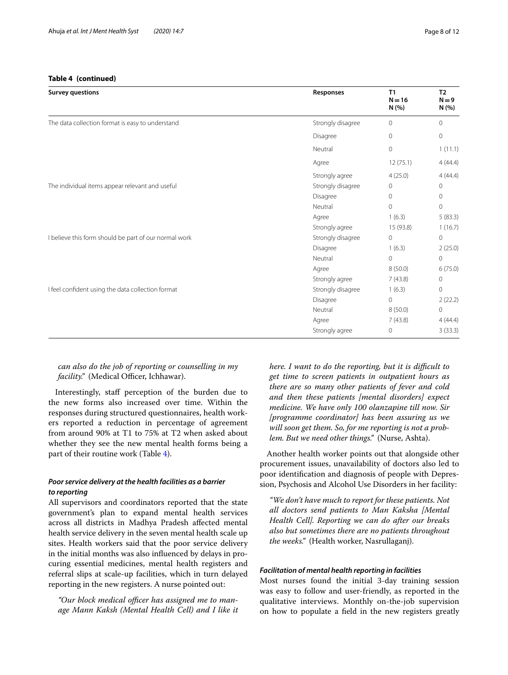## **Table 4 (continued)**

| <b>Survey questions</b>                               | Responses         | T1<br>$N = 16$<br>N (%) | T <sub>2</sub><br>$N = 9$<br>N (%) |
|-------------------------------------------------------|-------------------|-------------------------|------------------------------------|
| The data collection format is easy to understand      | Strongly disagree | $\circ$                 | $\Omega$                           |
|                                                       | Disagree          | 0                       | $\mathbf{0}$                       |
|                                                       | Neutral           | 0                       | 1(11.1)                            |
|                                                       | Agree             | 12(75.1)                | 4(44.4)                            |
|                                                       | Strongly agree    | 4(25.0)                 | 4(44.4)                            |
| The individual items appear relevant and useful       | Strongly disagree | 0                       | $\Omega$                           |
|                                                       | Disagree          | $\circ$                 | 0                                  |
|                                                       | Neutral           | $\circ$                 | $\Omega$                           |
|                                                       | Agree             | 1(6.3)                  | 5(83.3)                            |
|                                                       | Strongly agree    | 15 (93.8)               | 1(16.7)                            |
| I believe this form should be part of our normal work | Strongly disagree | $\circ$                 | $\mathbf{0}$                       |
|                                                       | Disagree          | 1(6.3)                  | 2(25.0)                            |
|                                                       | Neutral           | $\circ$                 | $\mathbf{0}$                       |
|                                                       | Agree             | 8(50.0)                 | 6(75.0)                            |
|                                                       | Strongly agree    | 7(43.8)                 | $\Omega$                           |
| I feel confident using the data collection format     | Strongly disagree | 1(6.3)                  | $\mathbf{0}$                       |
|                                                       | Disagree          | $\circ$                 | 2(22.2)                            |
|                                                       | Neutral           | 8(50.0)                 | $\mathbf{0}$                       |
|                                                       | Agree             | 7(43.8)                 | 4(44.4)                            |
|                                                       | Strongly agree    | 0                       | 3(33.3)                            |

## *can also do the job of reporting or counselling in my facility.*" (Medical Officer, Ichhawar).

Interestingly, staf perception of the burden due to the new forms also increased over time. Within the responses during structured questionnaires, health workers reported a reduction in percentage of agreement from around 90% at T1 to 75% at T2 when asked about whether they see the new mental health forms being a part of their routine work (Table [4](#page-6-0)).

## *Poor service delivery at the health facilities as a barrier to reporting*

All supervisors and coordinators reported that the state government's plan to expand mental health services across all districts in Madhya Pradesh afected mental health service delivery in the seven mental health scale up sites. Health workers said that the poor service delivery in the initial months was also infuenced by delays in procuring essential medicines, mental health registers and referral slips at scale-up facilities, which in turn delayed reporting in the new registers. A nurse pointed out:

"Our block medical officer has assigned me to man*age Mann Kaksh (Mental Health Cell) and I like it*  *here. I want to do the reporting, but it is difcult to get time to screen patients in outpatient hours as there are so many other patients of fever and cold and then these patients [mental disorders] expect medicine. We have only 100 olanzapine till now. Sir [programme coordinator] has been assuring us we will soon get them. So, for me reporting is not a problem. But we need other things."* (Nurse, Ashta).

Another health worker points out that alongside other procurement issues, unavailability of doctors also led to poor identifcation and diagnosis of people with Depression, Psychosis and Alcohol Use Disorders in her facility:

*"We don't have much to report for these patients. Not all doctors send patients to Man Kaksha [Mental Health Cell]. Reporting we can do after our breaks also but sometimes there are no patients throughout the weeks."* (Health worker, Nasrullaganj).

## *Facilitation of mental health reporting in facilities*

Most nurses found the initial 3-day training session was easy to follow and user-friendly, as reported in the qualitative interviews. Monthly on-the-job supervision on how to populate a feld in the new registers greatly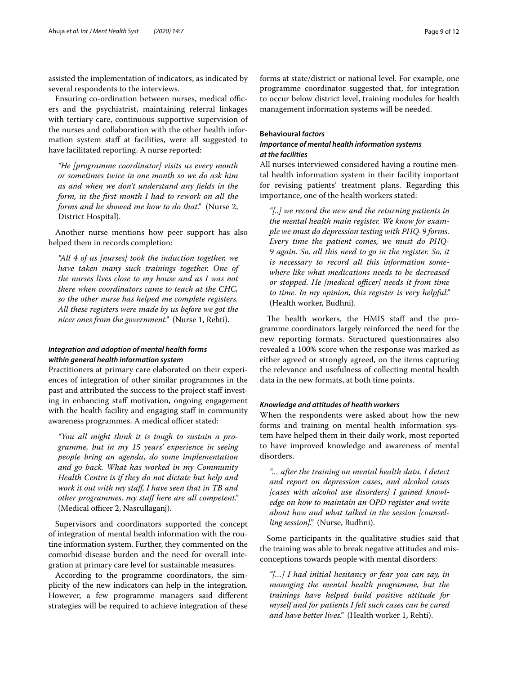assisted the implementation of indicators, as indicated by several respondents to the interviews.

Ensuring co-ordination between nurses, medical officers and the psychiatrist, maintaining referral linkages with tertiary care, continuous supportive supervision of the nurses and collaboration with the other health information system staff at facilities, were all suggested to have facilitated reporting. A nurse reported:

*"He [programme coordinator] visits us every month or sometimes twice in one month so we do ask him as and when we don't understand any felds in the form, in the frst month I had to rework on all the forms and he showed me how to do that."* (Nurse 2, District Hospital).

Another nurse mentions how peer support has also helped them in records completion:

*"All 4 of us [nurses] took the induction together, we have taken many such trainings together. One of the nurses lives close to my house and as I was not there when coordinators came to teach at the CHC, so the other nurse has helped me complete registers. All these registers were made by us before we got the nicer ones from the government."* (Nurse 1, Rehti).

## *Integration and adoption of mental health forms within general health information system*

Practitioners at primary care elaborated on their experiences of integration of other similar programmes in the past and attributed the success to the project staff investing in enhancing staff motivation, ongoing engagement with the health facility and engaging staff in community awareness programmes. A medical officer stated:

*"You all might think it is tough to sustain a programme, but in my 15 years' experience in seeing people bring an agenda, do some implementation and go back. What has worked in my Community Health Centre is if they do not dictate but help and work it out with my staf, I have seen that in TB and other programmes, my staf here are all competent."*  (Medical officer 2, Nasrullaganj).

Supervisors and coordinators supported the concept of integration of mental health information with the routine information system. Further, they commented on the comorbid disease burden and the need for overall integration at primary care level for sustainable measures.

According to the programme coordinators, the simplicity of the new indicators can help in the integration. However, a few programme managers said diferent strategies will be required to achieve integration of these forms at state/district or national level. For example, one programme coordinator suggested that, for integration to occur below district level, training modules for health management information systems will be needed.

## **Behavioural** *factors*

## *Importance of mental health information systems at the facilities*

All nurses interviewed considered having a routine mental health information system in their facility important for revising patients' treatment plans. Regarding this importance, one of the health workers stated:

*"[..] we record the new and the returning patients in the mental health main register. We know for example we must do depression testing with PHQ-9 forms. Every time the patient comes, we must do PHQ-9 again. So, all this need to go in the register. So, it is necessary to record all this information somewhere like what medications needs to be decreased or stopped. He [medical officer] needs it from time to time. In my opinion, this register is very helpful."*  (Health worker, Budhni).

The health workers, the HMIS staff and the programme coordinators largely reinforced the need for the new reporting formats. Structured questionnaires also revealed a 100% score when the response was marked as either agreed or strongly agreed, on the items capturing the relevance and usefulness of collecting mental health data in the new formats, at both time points.

## *Knowledge and attitudes of health workers*

When the respondents were asked about how the new forms and training on mental health information system have helped them in their daily work, most reported to have improved knowledge and awareness of mental disorders.

*"… after the training on mental health data. I detect and report on depression cases, and alcohol cases [cases with alcohol use disorders] I gained knowledge on how to maintain an OPD register and write about how and what talked in the session [counselling session]."* (Nurse, Budhni).

Some participants in the qualitative studies said that the training was able to break negative attitudes and misconceptions towards people with mental disorders:

*"[…] I had initial hesitancy or fear you can say, in managing the mental health programme, but the trainings have helped build positive attitude for myself and for patients I felt such cases can be cured and have better lives."* (Health worker 1, Rehti).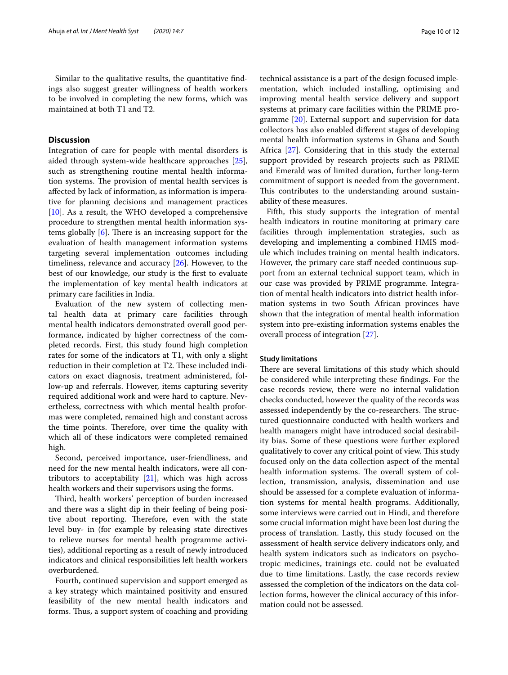Similar to the qualitative results, the quantitative fndings also suggest greater willingness of health workers to be involved in completing the new forms, which was maintained at both T1 and T2.

## **Discussion**

Integration of care for people with mental disorders is aided through system-wide healthcare approaches [\[25](#page-11-24)], such as strengthening routine mental health information systems. The provision of mental health services is afected by lack of information, as information is imperative for planning decisions and management practices  $[10]$  $[10]$ . As a result, the WHO developed a comprehensive procedure to strengthen mental health information systems globally  $[6]$  $[6]$ . There is an increasing support for the evaluation of health management information systems targeting several implementation outcomes including timeliness, relevance and accuracy [\[26\]](#page-11-25). However, to the best of our knowledge, our study is the frst to evaluate the implementation of key mental health indicators at primary care facilities in India.

Evaluation of the new system of collecting mental health data at primary care facilities through mental health indicators demonstrated overall good performance, indicated by higher correctness of the completed records. First, this study found high completion rates for some of the indicators at T1, with only a slight reduction in their completion at T2. These included indicators on exact diagnosis, treatment administered, follow-up and referrals. However, items capturing severity required additional work and were hard to capture. Nevertheless, correctness with which mental health proformas were completed, remained high and constant across the time points. Therefore, over time the quality with which all of these indicators were completed remained high.

Second, perceived importance, user-friendliness, and need for the new mental health indicators, were all contributors to acceptability  $[21]$ , which was high across health workers and their supervisors using the forms.

Third, health workers' perception of burden increased and there was a slight dip in their feeling of being positive about reporting. Therefore, even with the state level buy- in (for example by releasing state directives to relieve nurses for mental health programme activities), additional reporting as a result of newly introduced indicators and clinical responsibilities left health workers overburdened.

Fourth, continued supervision and support emerged as a key strategy which maintained positivity and ensured feasibility of the new mental health indicators and forms. Thus, a support system of coaching and providing technical assistance is a part of the design focused implementation, which included installing, optimising and improving mental health service delivery and support systems at primary care facilities within the PRIME programme [\[20](#page-11-19)]. External support and supervision for data collectors has also enabled diferent stages of developing mental health information systems in Ghana and South Africa [\[27](#page-11-26)]. Considering that in this study the external support provided by research projects such as PRIME and Emerald was of limited duration, further long-term commitment of support is needed from the government. This contributes to the understanding around sustainability of these measures.

Fifth, this study supports the integration of mental health indicators in routine monitoring at primary care facilities through implementation strategies, such as developing and implementing a combined HMIS module which includes training on mental health indicators. However, the primary care staff needed continuous support from an external technical support team, which in our case was provided by PRIME programme. Integration of mental health indicators into district health information systems in two South African provinces have shown that the integration of mental health information system into pre-existing information systems enables the overall process of integration [[27](#page-11-26)].

## **Study limitations**

There are several limitations of this study which should be considered while interpreting these fndings. For the case records review, there were no internal validation checks conducted, however the quality of the records was assessed independently by the co-researchers. The structured questionnaire conducted with health workers and health managers might have introduced social desirability bias. Some of these questions were further explored qualitatively to cover any critical point of view. This study focused only on the data collection aspect of the mental health information systems. The overall system of collection, transmission, analysis, dissemination and use should be assessed for a complete evaluation of information systems for mental health programs. Additionally, some interviews were carried out in Hindi, and therefore some crucial information might have been lost during the process of translation. Lastly, this study focused on the assessment of health service delivery indicators only, and health system indicators such as indicators on psychotropic medicines, trainings etc. could not be evaluated due to time limitations. Lastly, the case records review assessed the completion of the indicators on the data collection forms, however the clinical accuracy of this information could not be assessed.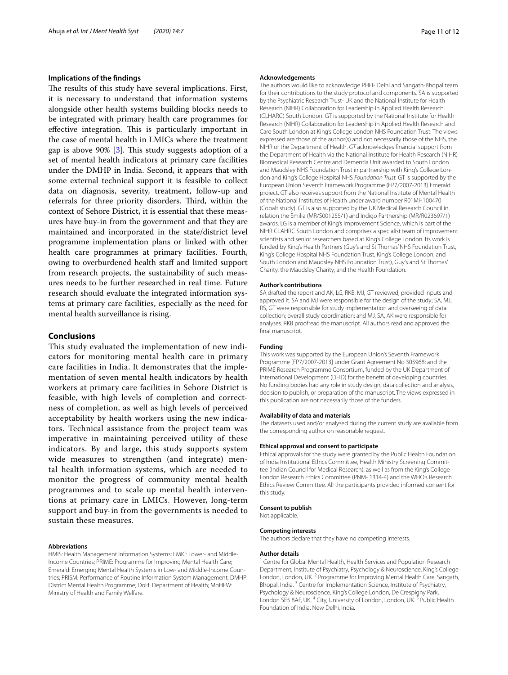## **Implications of the fndings**

The results of this study have several implications. First, it is necessary to understand that information systems alongside other health systems building blocks needs to be integrated with primary health care programmes for effective integration. This is particularly important in the case of mental health in LMICs where the treatment gap is above 90%  $[3]$  $[3]$ . This study suggests adoption of a set of mental health indicators at primary care facilities under the DMHP in India. Second, it appears that with some external technical support it is feasible to collect data on diagnosis, severity, treatment, follow-up and referrals for three priority disorders. Third, within the context of Sehore District, it is essential that these measures have buy-in from the government and that they are maintained and incorporated in the state/district level programme implementation plans or linked with other health care programmes at primary facilities. Fourth, owing to overburdened health staf and limited support from research projects, the sustainability of such measures needs to be further researched in real time. Future research should evaluate the integrated information systems at primary care facilities, especially as the need for mental health surveillance is rising.

## **Conclusions**

This study evaluated the implementation of new indicators for monitoring mental health care in primary care facilities in India. It demonstrates that the implementation of seven mental health indicators by health workers at primary care facilities in Sehore District is feasible, with high levels of completion and correctness of completion, as well as high levels of perceived acceptability by health workers using the new indicators. Technical assistance from the project team was imperative in maintaining perceived utility of these indicators. By and large, this study supports system wide measures to strengthen (and integrate) mental health information systems, which are needed to monitor the progress of community mental health programmes and to scale up mental health interventions at primary care in LMICs. However, long-term support and buy-in from the governments is needed to sustain these measures.

#### **Abbreviations**

HMIS: Health Management Information Systems; LMIC: Lower- and Middle-Income Countries; PRIME: Programme for Improving Mental Health Care; Emerald: Emerging Mental Health Systems in Low- and Middle-Income Countries; PRISM: Performance of Routine Information System Management; DMHP: District Mental Health Programme; DoH: Department of Health; MoHFW: Ministry of Health and Family Welfare.

#### **Acknowledgements**

The authors would like to acknowledge PHFI- Delhi and Sangath-Bhopal team for their contributions to the study protocol and components. SA is supported by the Psychiatric Research Trust- UK and the National Institute for Health Research (NIHR) Collaboration for Leadership in Applied Health Research (CLHARC) South London. GT is supported by the National Institute for Health Research (NIHR) Collaboration for Leadership in Applied Health Research and Care South London at King's College London NHS Foundation Trust. The views expressed are those of the author(s) and not necessarily those of the NHS, the NIHR or the Department of Health. *GT* acknowledges fnancial support from the Department of Health via the National Institute for Health Research (NIHR) Biomedical Research Centre and Dementia Unit awarded to South London and Maudsley NHS Foundation Trust in partnership with King's College London and King's College Hospital NHS *Foundation Trust.* GT is supported by the European Union Seventh Framework Programme (FP7/2007-2013) Emerald project. GT also receives support from the National Institute of Mental Health of the National Institutes of Health under award number R01MH100470 (Cobalt study). GT is also supported by the UK Medical Research Council in relation the Emilia (MR/S001255/1) and Indigo Partnership (MR/R023697/1) awards. LG is a member of King's Improvement Science, which is part of the NIHR CLAHRC South London and comprises a specialist team of improvement scientists and senior researchers based at King's College London. Its work is funded by King's Health Partners (Guy's and St Thomas' NHS Foundation Trust, King's College Hospital NHS Foundation Trust, King's College London, and South London and Maudsley NHS Foundation Trust), Guy's and St Thomas' Charity, the Maudsley Charity, and the Health Foundation.

#### **Author's contributions**

SA drafted the report and AK, LG, RKB, MJ, GT reviewed, provided inputs and approved it. SA and MJ were responsible for the design of the study; SA, MJ, RS, GT were responsible for study implementation and overseeing of data collection; overall study coordination; and MJ, SA, AK were responsible for analyses. RKB proofread the manuscript. All authors read and approved the fnal manuscript.

#### **Funding**

This work was supported by the European Union's Seventh Framework Programme [FP7/2007-2013] under Grant Agreement No 305968; and the PRIME Research Programme Consortium, funded by the UK Department of International Development (DFID) for the beneft of developing countries. No funding bodies had any role in study design, data collection and analysis, decision to publish, or preparation of the manuscript. The views expressed in this publication are not necessarily those of the funders.

#### **Availability of data and materials**

The datasets used and/or analysed during the current study are available from the corresponding author on reasonable request.

#### **Ethical approval and consent to participate**

Ethical approvals for the study were granted by the Public Health Foundation of India Institutional Ethics Committee, Health Ministry Screening Committee (Indian Council for Medical Research), as well as from the King's College London Research Ethics Committee (PNM- 1314-4) and the WHO's Research Ethics Review Committee. All the participants provided informed consent for this study.

## **Consent to publish**

Not applicable.

#### **Competing interests**

The authors declare that they have no competing interests.

#### **Author details**

<sup>1</sup> Centre for Global Mental Health, Health Services and Population Research Department, Institute of Psychiatry, Psychology & Neuroscience, King's College London, London, UK. <sup>2</sup> Programme for Improving Mental Health Care, Sangath, Bhopal, India. 3 Centre for Implementation Science, Institute of Psychiatry, Psychology & Neuroscience, King's College London, De Crespigny Park, London SE5 8AF, UK.<sup>4</sup> City, University of London, London, UK.<sup>5</sup> Public Health Foundation of India, New Delhi, India.